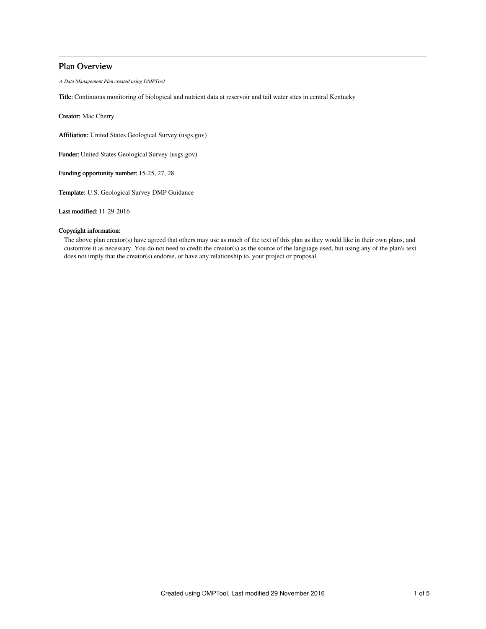# Plan Overview

A Data Management Plan created using DMPTool

Title: Continuous monitoring of biological and nutrient data at reservoir and tail water sites in central Kentucky

Creator: Mac Cherry

Affiliation: United States Geological Survey (usgs.gov)

Funder: United States Geological Survey (usgs.gov)

Funding opportunity number: 15-25, 27, 28

Template: U.S. Geological Survey DMP Guidance

Last modified: 11-29-2016

# Copyright information:

The above plan creator(s) have agreed that others may use as much of the text of this plan as they would like in their own plans, and customize it as necessary. You do not need to credit the creator(s) as the source of the language used, but using any of the plan's text does not imply that the creator(s) endorse, or have any relationship to, your project or proposal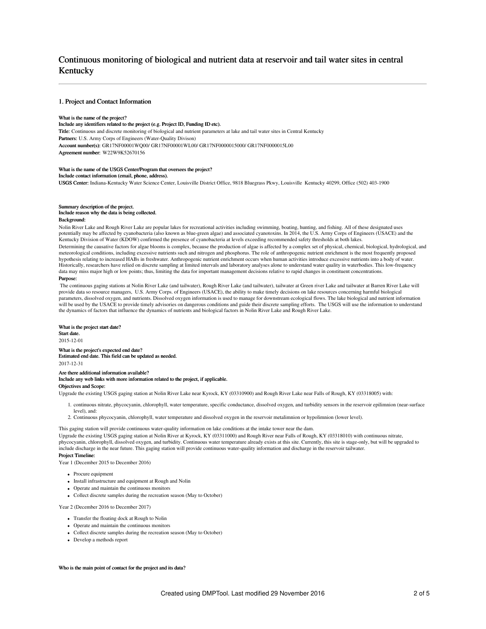# Continuous monitoring of biological and nutrient data at reservoir and tail water sites in central Kentucky

#### 1. Project and Contact Information

#### What is the name of the project?

## Include any identifiers related to the project (e.g. Project ID, Funding ID etc).

Title: Continuous and discrete monitoring of biological and nutrient parameters at lake and tail water sites in Central Kentucky Partners: U.S. Army Corps of Engineers (Water-Quality Divison) Account number(s): GR17NF00001WQ00/ GR17NF00001WL00/ GR17NF0000015000/ GR17NF0000015L00 Agreement number: W22W9K52670156

#### What is the name of the USGS Center/Program that oversees the project? Include contact information (email, phone, address).

USGS Center: Indiana-Kentucky Water Science Center, Louisville District Office, 9818 Bluegrass Pkwy, Louisville Kentucky 40299, Office (502) 403-1900

### Summary description of the project. Include reason why the data is being collected.

#### Background:

Nolin River Lake and Rough River Lake are popular lakes for recreational activities including swimming, boating, hunting, and fishing. All of these designated uses potentially may be affected by cyanobacteria (also known as blue-green algae) and associated cyanotoxins. In 2014, the U.S. Army Corps of Engineers (USACE) and the Kentucky Division of Water (KDOW) confirmed the presence of cyanobacteria at levels exceeding recommended safety thresholds at both lakes.

Determining the causative factors for algae blooms is complex, because the production of algae is affected by a complex set of physical, chemical, biological, hydrological, and meteorological conditions, including excessive nutrients such and nitrogen and phosphorus. The role of anthropogenic nutrient enrichment is the most frequently proposed hypothesis relating to increased HABs in freshwater. Anthropogenic nutrient enrichment occurs when human activities introduce excessive nutrients into a body of water. Historically, researchers have relied on discrete sampling at limited intervals and laboratory analyses alone to understand water quality in waterbodies. This low-frequency data may miss major high or low points; thus, limiting the data for important management decisions relative to rapid changes in constituent concentrations.

### Purpose:

The continuous gaging stations at Nolin River Lake (and tailwater), Rough River Lake (and tailwater), tailwater at Green river Lake and tailwater at Barren River Lake will provide data so resource managers, U.S. Army Corps. of Engineers (USACE), the ability to make timely decisions on lake resources concerning harmful biological parameters, dissolved oxygen, and nutrients. Dissolved oxygen information is used to manage for downstream ecological flows. The lake biological and nutrient information will be used by the USACE to provide timely advisories on dangerous conditions and guide their discrete sampling efforts. The USGS will use the information to understand the dynamics of factors that influence the dynamics of nutrients and biological factors in Nolin River Lake and Rough River Lake.

#### What is the project start date?

Start date.

2015-12-01

#### What is the project's expected end date? Estimated end date. This field can be updated as needed. 2017-12-31

#### Are there additional information available? Include any web links with more information related to the project, if applicable. Objectives and Scope:

Upgrade the existing USGS gaging station at Nolin River Lake near Kyrock, KY (03310900) and Rough River Lake near Falls of Rough, KY (03318005) with:

- 1. continuous nitrate, phycocyanin, chlorophyll, water temperature, specific conductance, dissolved oxygen, and turbidity sensors in the reservoir epilimnion (near-surface level), and:
- 2. Continuous phycocyanin, chlorophyll, water temperature and dissolved oxygen in the reservoir metalimnion or hypolimnion (lower level).

This gaging station will provide continuous water-quality information on lake conditions at the intake tower near the dam.

Upgrade the existing USGS gaging station at Nolin River at Kyrock, KY (03311000) and Rough River near Falls of Rough, KY (03318010) with continuous nitrate, phycocyanin, chlorophyll, dissolved oxygen, and turbidity. Continuous water temperature already exists at this site. Currently, this site is stage-only, but will be upgraded to include discharge in the near future. This gaging station will provide continuous water-quality information and discharge in the reservoir tailwater. Project Timeline:

Year 1 (December 2015 to December 2016)

- Procure equipment
- Install infrastructure and equipment at Rough and Nolin
- Operate and maintain the continuous monitors
- Collect discrete samples during the recreation season (May to October)

Year 2 (December 2016 to December 2017)

- Transfer the floating dock at Rough to Nolin
- Operate and maintain the continuous monitors
- Collect discrete samples during the recreation season (May to October)
- Develop a methods report

#### Who is the main point of contact for the project and its data?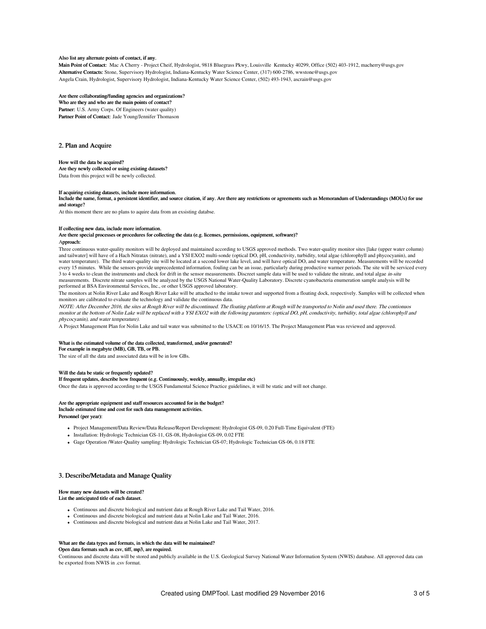#### Also list any alternate points of contact, if any.

Main Point of Contact: Mac A Cherry - Project Cheif, Hydrologist, 9818 Bluegrass Pkwy, Louisville Kentucky 40299, Office (502) 403-1912, macherry@usgs.gov Alternative Contacts: Stone, Supervisory Hydrologist, Indiana-Kentucky Water Science Center, (317) 600-2786, wwstone@usgs.gov Angela Crain, Hydrologist, Supervisory Hydrologist, Indiana-Kentucky Water Science Center, (502) 493-1943, ascrain@usgs.gov

#### Are there collaborating/funding agencies and organizations?

Who are they and who are the main points of contact? Partner: U.S. Army Corps. Of Engineers (water quality) Partner Point of Contact: Jade Young/Jennifer Thomason

### 2. Plan and Acquire

#### How will the data be acquired?

Are they newly collected or using existing datasets? Data from this project will be newly collected.

#### If acquiring existing datasets, include more information.

Include the name, format, a persistent identifier, and source citation, if any. Are there any restrictions or agreements such as Memorandum of Understandings (MOUs) for use and storage?

At this moment there are no plans to aquire data from an exsisting databse.

#### If collecting new data, include more information.

Are there special processes or procedures for collecting the data (e.g. licenses, permissions, equipment, software)? Approach:

Three continuous water-quality monitors will be deployed and maintained according to USGS approved methods. Two water-quality monitor sites [lake (upper water column) and tailwater] will have of a Hach Nitratax (nitrate), and a YSI EXO2 multi-sonde (optical DO, pH, conductivity, turbidity, total algae (chlorophyll and phycocyanin), and water temperature). The third water-quality site will be located at a second lower lake level, and will have optical DO, and water temperature. Measurements will be recorded every 15 minutes. While the sensors provide unprecedented information, fouling can be an issue, particularly during productive warmer periods. The site will be serviced every 3 to 4 weeks to clean the instruments and check for drift in the sensor measurements. Discreet sample data will be used to validate the nitrate, and total algae in-situ measurements. Discrete nitrate samples will be analyzed by the USGS National Water-Quality Laboratory. Discrete cyanobacteria enumeration sample analysis will be performed at BSA Environmental Services, Inc., or other USGS approved laboratory.

The monitors at Nolin River Lake and Rough River Lake will be attached to the intake tower and supported from a floating dock, respectively. Samples will be collected when monitors are calibrated to evaluate the technology and validate the continuous data.

NOTE: After December 2016, the sites at Rough River will be discontinued. The floating platform at Rough will be transported to Nolin and used there. The contionuos monitor at the bottom of Nolin Lake will be replaced with a YSI EXO2 with the following paramters: (optical DO, pH, conductivity, turbidity, total algae (chlorophyll and phycocyanin), and water temperature).

A Project Management Plan for Nolin Lake and tail water was submitted to the USACE on 10/16/15. The Project Management Plan was reviewed and approved.

#### What is the estimated volume of the data collected, transformed, and/or generated?

#### For example in megabyte (MB), GB, TB, or PB.

The size of all the data and associated data will be in low GBs.

#### Will the data be static or frequently updated?

#### If frequent updates, describe how frequent (e.g. Continuously, weekly, annually, irregular etc)

Once the data is approved according to the USGS Fundamental Science Practice guidelines, it will be static and will not change.

#### Are the appropriate equipment and staff resources accounted for in the budget?

Include estimated time and cost for such data management activities.

Personnel (per year):

- Project Management/Data Review/Data Release/Report Development: Hydrologist GS-09, 0.20 Full-Time Equivalent (FTE)
- Installation: Hydrologic Technician GS-11, GS-08, Hydrologist GS-09, 0.02 FTE
- Gage Operation /Water-Quality sampling: Hydrologic Technician GS-07; Hydrologic Technician GS-06, 0.18 FTE

### 3. Describe/Metadata and Manage Quality

#### How many new datasets will be created?

#### List the anticipated title of each dataset.

- Continuous and discrete biological and nutrient data at Rough River Lake and Tail Water, 2016.
- Continuous and discrete biological and nutrient data at Nolin Lake and Tail Water, 2016.
- Continuous and discrete biological and nutrient data at Nolin Lake and Tail Water, 2017.

#### What are the data types and formats, in which the data will be maintained?

Open data formats such as csv, tiff, mp3, are required.

Continuous and discrete data will be stored and publicly available in the U.S. Geological Survey National Water Information System (NWIS) database. All approved data can be exported from NWIS in .csv format.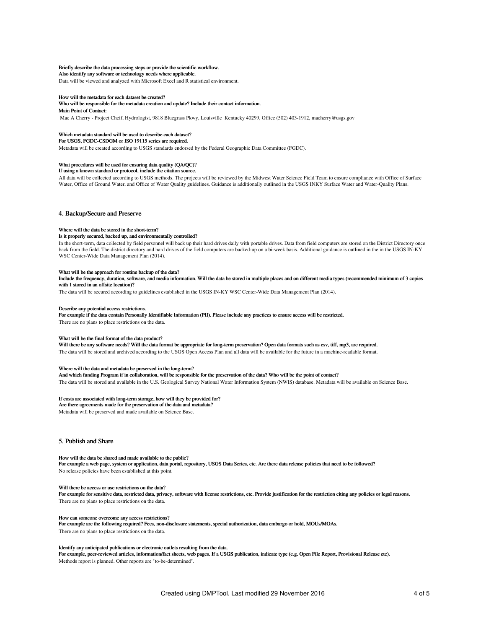#### Briefly describe the data processing steps or provide the scientific workflow.

Also identify any software or technology needs where applicable.

Data will be viewed and analyzed with Microsoft Excel and R statistical environment.

#### How will the metadata for each dataset be created?

# Who will be responsible for the metadata creation and update? Include their contact information.

Main Point of Contact:

Mac A Cherry - Project Cheif, Hydrologist, 9818 Bluegrass Pkwy, Louisville Kentucky 40299, Office (502) 403-1912, macherry@usgs.gov

### Which metadata standard will be used to describe each dataset?

For USGS, FGDC-CSDGM or ISO 19115 series are required.

Metadata will be created according to USGS standards endorsed by the Federal Geographic Data Committee (FGDC).

#### What procedures will be used for ensuring data quality (QA/QC)?

If using a known standard or protocol, include the citation source.

All data will be collected according to USGS methods. The projects will be reviewed by the Midwest Water Science Field Team to ensure compliance with Office of Surface Water, Office of Ground Water, and Office of Water Quality guidelines. Guidance is additionally outlined in the USGS INKY Surface Water and Water-Quality Plans.

#### 4. Backup/Secure and Preserve

#### Where will the data be stored in the short-term?

#### Is it properly secured, backed up, and environmentally controlled?

In the short-term, data collected by field personnel will back up their hard drives daily with portable drives. Data from field computers are stored on the District Directory once back from the field. The district directory and hard drives of the field computers are backed-up on a bi-week basis. Additional guidance is outlined in the in the USGS IN-KY WSC Center-Wide Data Management Plan (2014).

#### What will be the approach for routine backup of the data?

Include the frequency, duration, software, and media information. Will the data be stored in multiple places and on different media types (recommended minimum of 3 copies with 1 stored in an offsite location)?

The data will be secured according to guidelines established in the USGS IN-KY WSC Center-Wide Data Management Plan (2014).

#### Describe any potential access restrictions.

For example if the data contain Personally Identifiable Information (PII). Please include any practices to ensure access will be restricted.

There are no plans to place restrictions on the data.

#### What will be the final format of the data product?

Will there be any software needs? Will the data format be appropriate for long-term preservation? Open data formats such as csv, tiff, mp3, are required. The data will be stored and archived according to the USGS Open Access Plan and all data will be available for the future in a machine-readable format.

#### Where will the data and metadata be preserved in the long-term?

And which funding Program if in collaboration, will be responsible for the preservation of the data? Who will be the point of contact? The data will be stored and available in the U.S. Geological Survey National Water Information System (NWIS) database. Metadata will be available on Science Base.

#### If costs are associated with long-term storage, how will they be provided for?

Are there agreements made for the preservation of the data and metadata? Metadata will be preserved and made available on Science Base.

# 5. Publish and Share

#### How will the data be shared and made available to the public?

For example a web page, system or application, data portal, repository, USGS Data Series, etc. Are there data release policies that need to be followed? No release policies have been established at this point.

#### Will there be access or use restrictions on the data?

For example for sensitive data, restricted data, privacy, software with license restrictions, etc. Provide justification for the restriction citing any policies or legal reasons. There are no plans to place restrictions on the data.

#### How can someone overcome any access restrictions?

For example are the following required? Fees, non-disclosure statements, special authorization, data embargo or hold, MOUs/MOAs. There are no plans to place restrictions on the data.

#### Identify any anticipated publications or electronic outlets resulting from the data.

For example, peer-reviewed articles, information/fact sheets, web pages. If a USGS publication, indicate type (e.g. Open File Report, Provisional Release etc). Methods report is planned. Other reports are "to-be-determined".